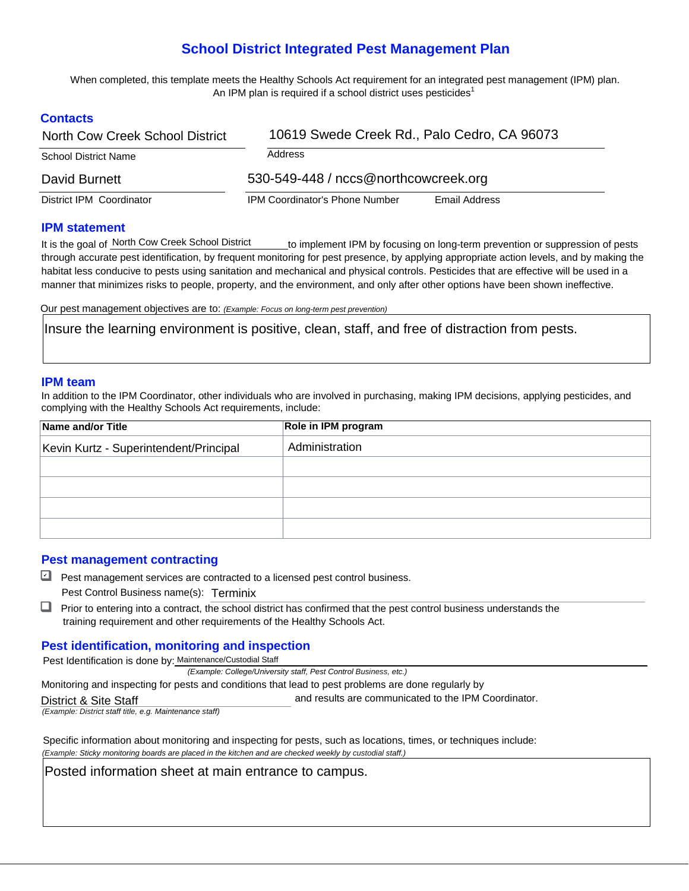# **School District Integrated Pest Management Plan**

 When completed, this template meets the Healthy Schools Act requirement for an integrated pest management (IPM) plan. An IPM plan is required if a school district uses pesticides<sup>1</sup>

# **Contacts**

| North Cow Creek School District | 10619 Swede Creek Rd., Palo Cedro, CA 96073            |  |  |  |  |
|---------------------------------|--------------------------------------------------------|--|--|--|--|
| <b>School District Name</b>     | Address                                                |  |  |  |  |
| David Burnett                   | 530-549-448 / nccs@northcowcreek.org                   |  |  |  |  |
| District IPM Coordinator        | <b>IPM Coordinator's Phone Number</b><br>Email Address |  |  |  |  |

#### **IPM statement**

is the goal of North Cow Creek School District through accurate pest identification, by frequent monitoring for pest presence, by applying appropriate action levels, and by making the habitat less conducive to pests using sanitation and mechanical and physical controls. Pesticides that are effective will be used in a manner that minimizes risks to people, property, and the environment, and only after other options have been shown ineffective. to implement IPM by focusing on long-term prevention or suppression of pests

Our pest management objectives are to: *(Example: Focus on long-term pest prevention)* 

Insure the learning environment is positive, clean, staff, and free of distraction from pests.

#### **IPM team**

In addition to the IPM Coordinator, other individuals who are involved in purchasing, making IPM decisions, applying pesticides, and complying with the Healthy Schools Act requirements, include:

| Name and/or Title                      | Role in IPM program<br>Administration |  |  |  |  |
|----------------------------------------|---------------------------------------|--|--|--|--|
| Kevin Kurtz - Superintendent/Principal |                                       |  |  |  |  |
|                                        |                                       |  |  |  |  |
|                                        |                                       |  |  |  |  |
|                                        |                                       |  |  |  |  |
|                                        |                                       |  |  |  |  |

and results are communicated to the IPM Coordinator.

## **Pest management contracting**

- Pest management services are contracted to a licensed pest control business. Pest Control Business name(s): Terminix
- Prior to entering into a contract, the school district has confirmed that the pest control business understands the training requirement and other requirements of the Healthy Schools Act.

## **Pest identification, monitoring and inspection**

Pest Identification is done by: Maintenance/Custodial Staff

 *(Example: College/University staff, Pest Control Business, etc.)* 

Monitoring and inspecting for pests and conditions that lead to pest problems are done regularly by

#### District & Site Staff

*(Example: District staff title, e.g. Maintenance staff)* 

 Specific information about monitoring and inspecting for pests, such as locations, times, or techniques include:  *(Example: Sticky monitoring boards are placed in the kitchen and are checked weekly by custodial staff.)* 

Posted information sheet at main entrance to campus.